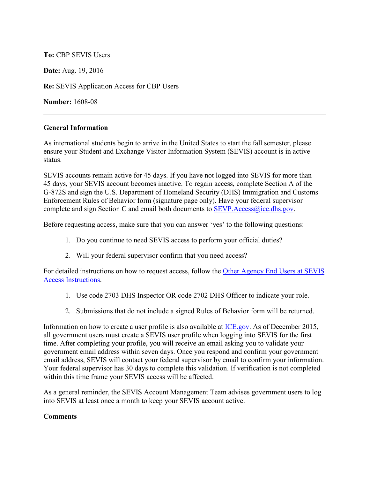## **To:** CBP SEVIS Users

**Date:** Aug. 19, 2016

**Re:** SEVIS Application Access for CBP Users

**Number:** 1608-08

## **General Information**

As international students begin to arrive in the United States to start the fall semester, please ensure your Student and Exchange Visitor Information System (SEVIS) account is in active status.

SEVIS accounts remain active for 45 days. If you have not logged into SEVIS for more than 45 days, your SEVIS account becomes inactive. To regain access, complete Section A of the G-872S and sign the U.S. Department of Homeland Security (DHS) Immigration and Customs Enforcement Rules of Behavior form (signature page only). Have your federal supervisor complete and sign Section C and email both documents to  $SEVP$ . Access@ice.dhs.gov.

Before requesting access, make sure that you can answer 'yes' to the following questions:

- 1. Do you continue to need SEVIS access to perform your official duties?
- 2. Will your federal supervisor confirm that you need access?

For detailed instructions on how to request access, follow the [Other Agency End Users at SEVIS](https://www.ice.gov/sevis/sevis-application-instructions-all-users)  [Access Instructions](https://www.ice.gov/sevis/sevis-application-instructions-all-users).

- 1. Use code 2703 DHS Inspector OR code 2702 DHS Officer to indicate your role.
- 2. Submissions that do not include a signed Rules of Behavior form will be returned.

Information on how to create a user profile is also available at [ICE.gov.](https://www.ice.gov/sevis/overview) As of December 2015, all government users must create a SEVIS user profile when logging into SEVIS for the first time. After completing your profile, you will receive an email asking you to validate your government email address within seven days. Once you respond and confirm your government email address, SEVIS will contact your federal supervisor by email to confirm your information. Your federal supervisor has 30 days to complete this validation. If verification is not completed within this time frame your SEVIS access will be affected.

As a general reminder, the SEVIS Account Management Team advises government users to log into SEVIS at least once a month to keep your SEVIS account active.

## **Comments**